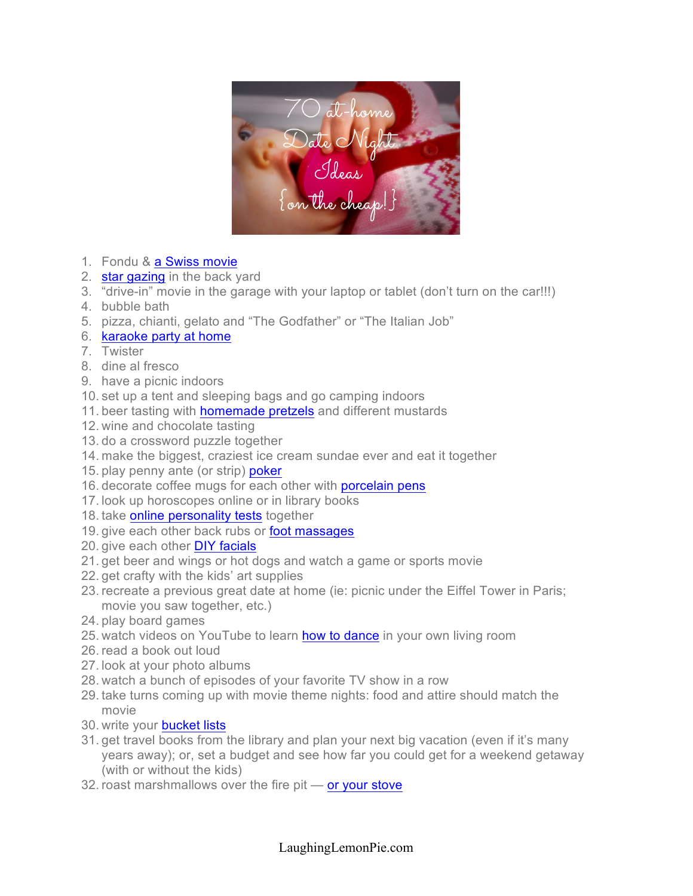

- 1. Fondu & a Swiss movie
- 2. star gazing in the back yard
- 3. "drive-in" movie in the garage with your laptop or tablet (don't turn on the car!!!)
- 4. bubble bath
- 5. pizza, chianti, gelato and "The Godfather" or "The Italian Job"
- 6. karaoke party at home
- 7. Twister
- 8. dine al fresco
- 9. have a picnic indoors
- 10. set up a tent and sleeping bags and go camping indoors
- 11. beer tasting with **homemade pretzels** and different mustards
- 12. wine and chocolate tasting
- 13. do a crossword puzzle together
- 14. make the biggest, craziest ice cream sundae ever and eat it together
- 15. play penny ante (or strip) poker
- 16. decorate coffee mugs for each other with porcelain pens
- 17. look up horoscopes online or in library books
- 18. take online personality tests together
- 19. give each other back rubs or **foot massages**
- 20. give each other DIY facials
- 21. get beer and wings or hot dogs and watch a game or sports movie
- 22. get crafty with the kids' art supplies
- 23. recreate a previous great date at home (ie: picnic under the Eiffel Tower in Paris; movie you saw together, etc.)
- 24. play board games
- 25. watch videos on YouTube to learn how to dance in your own living room
- 26. read a book out loud
- 27. look at your photo albums
- 28. watch a bunch of episodes of your favorite TV show in a row
- 29. take turns coming up with movie theme nights: food and attire should match the movie
- 30. write your bucket lists
- 31. get travel books from the library and plan your next big vacation (even if it's many years away); or, set a budget and see how far you could get for a weekend getaway (with or without the kids)
- 32. roast marshmallows over the fire pit or your stove